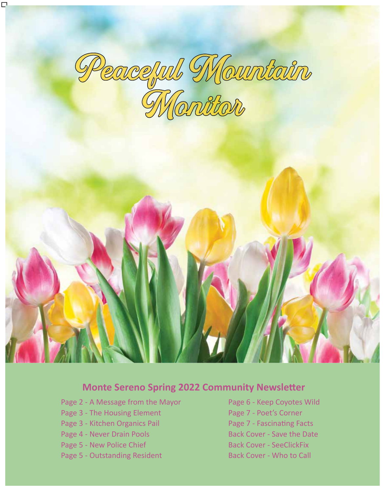

### **Monte Sereno Spring 2022 Community Newsletter**

- Page 2 A Message from the Mayor Page 6 Keep Coyotes Wild
- Page 3 The Housing Element Page 7 Poet's Corner
- Page 3 Kitchen Organics Pail Page 7 Fascinating Facts
- 
- 
- Page 5 Outstanding Resident Back Cover Who to Call
- Page 4 Never Drain Pools Back Cover Save the Date Page 5 - New Police Chief Back Cover - SeeClickFix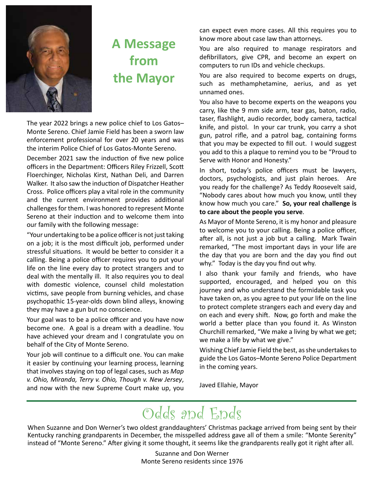

### **A Message from the Mayor**

The year 2022 brings a new police chief to Los Gatos– Monte Sereno. Chief Jamie Field has been a sworn law enforcement professional for over 20 years and was the interim Police Chief of Los Gatos-Monte Sereno.

December 2021 saw the induction of five new police officers in the Department: Officers Riley Frizzell, Scott Floerchinger, Nicholas Kirst, Nathan Deli, and Darren Walker. It also saw the induction of Dispatcher Heather Cross. Police officers play a vital role in the community and the current environment provides additional challenges for them. I was honored to represent Monte Sereno at their induction and to welcome them into our family with the following message:

"Your undertaking to be a police officer is not just taking on a job; it is the most difficult job, performed under stressful situations. It would be better to consider it a calling. Being a police officer requires you to put your life on the line every day to protect strangers and to deal with the mentally ill. It also requires you to deal with domestic violence, counsel child molestation victims, save people from burning vehicles, and chase psychopathic 15-year-olds down blind alleys, knowing they may have a gun but no conscience.

Your goal was to be a police officer and you have now become one. A goal is a dream with a deadline. You have achieved your dream and I congratulate you on behalf of the City of Monte Sereno.

Your job will continue to a difficult one. You can make it easier by continuing your learning process, learning that involves staying on top of legal cases, such as *Map v. Ohio, Miranda, Terry v. Ohio, Though v. New Jersey*, and now with the new Supreme Court make up, you can expect even more cases. All this requires you to know more about case law than attorneys.

You are also required to manage respirators and defibrillators, give CPR, and become an expert on computers to run IDs and vehicle checkups.

You are also required to become experts on drugs, such as methamphetamine, aerius, and as yet unnamed ones.

You also have to become experts on the weapons you carry, like the 9 mm side arm, tear gas, baton, radio, taser, flashlight, audio recorder, body camera, tactical knife, and pistol. In your car trunk, you carry a shot gun, patrol rifle, and a patrol bag, containing forms that you may be expected to fill out. I would suggest you add to this a plaque to remind you to be "Proud to Serve with Honor and Honesty."

In short, today's police officers must be lawyers, doctors, psychologists, and just plain heroes. Are you ready for the challenge? As Teddy Roosevelt said, "Nobody cares about how much you know, until they know how much you care." **So, your real challenge is to care about the people you serve**.

As Mayor of Monte Sereno, it is my honor and pleasure to welcome you to your calling. Being a police officer, after all, is not just a job but a calling. Mark Twain remarked, "The most important days in your life are the day that you are born and the day you find out why." Today is the day you find out why.

I also thank your family and friends, who have supported, encouraged, and helped you on this journey and who understand the formidable task you have taken on, as you agree to put your life on the line to protect complete strangers each and every day and on each and every shift. Now, go forth and make the world a better place than you found it. As Winston Churchill remarked, "We make a living by what we get; we make a life by what we give."

Wishing Chief Jamie Field the best, as she undertakes to guide the Los Gatos–Monte Sereno Police Department in the coming years.

Javed Ellahie, Mayor

### Odds and Ends

When Suzanne and Don Werner's two oldest granddaughters' Christmas package arrived from being sent by their Kentucky ranching grandparents in December, the misspelled address gave all of them a smile: "Monte Serenity" instead of "Monte Sereno." After giving it some thought, it seems like the grandparents really got it right after all.

> Suzanne and Don Werner Monte Sereno residents since 1976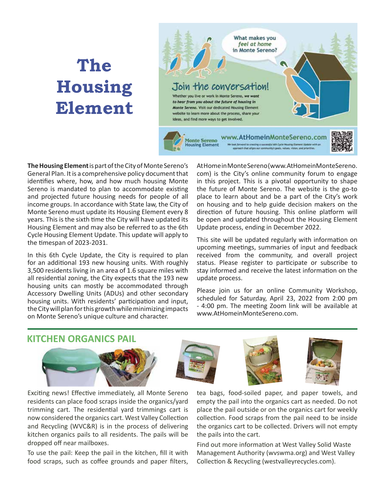## **The Housing Element**



**The Housing Element** is part of the City of Monte Sereno's General Plan. It is a comprehensive policy document that identifies where, how, and how much housing Monte Sereno is mandated to plan to accommodate existing and projected future housing needs for people of all income groups. In accordance with State law, the City of Monte Sereno must update its Housing Element every 8 years. This is the sixth time the City will have updated its Housing Element and may also be referred to as the 6th Cycle Housing Element Update. This update will apply to the timespan of 2023-2031.

In this 6th Cycle Update, the City is required to plan for an additional 193 new housing units. With roughly 3,500 residents living in an area of 1.6 square miles with all residential zoning, the City expects that the 193 new housing units can mostly be accommodated through Accessory Dwelling Units (ADUs) and other secondary housing units. With residents' participation and input, the City will plan for this growth while minimizing impacts on Monte Sereno's unique culture and character.

At Home in Monte Sereno (www.AtHomeinMonteSereno. com) is the City's online community forum to engage in this project. This is a pivotal opportunity to shape the future of Monte Sereno. The website is the go-to place to learn about and be a part of the City's work on housing and to help guide decision makers on the direction of future housing. This online platform will be open and updated throughout the Housing Element Update process, ending in December 2022.

This site will be updated regularly with information on upcoming meetings, summaries of input and feedback received from the community, and overall project status. Please register to participate or subscribe to stay informed and receive the latest information on the update process.

Please join us for an online Community Workshop, scheduled for Saturday, April 23, 2022 from 2:00 pm - 4:00 pm. The meeting Zoom link will be available at www.AtHomeinMonteSereno.com.

### **KITCHEN ORGANICS PAIL**



Exciting news! Effective immediately, all Monte Sereno residents can place food scraps inside the organics/yard trimming cart. The residential yard trimmings cart is now considered the organics cart. West Valley Collection and Recycling (WVC&R) is in the process of delivering kitchen organics pails to all residents. The pails will be dropped off near mailboxes.

To use the pail: Keep the pail in the kitchen, fill it with food scraps, such as coffee grounds and paper filters,

tea bags, food-soiled paper, and paper towels, and empty the pail into the organics cart as needed. Do not place the pail outside or on the organics cart for weekly collection. Food scraps from the pail need to be inside the organics cart to be collected. Drivers will not empty the pails into the cart.

Find out more information at West Valley Solid Waste Management Authority (wvswma.org) and West Valley Collection & Recycling (westvalleyrecycles.com).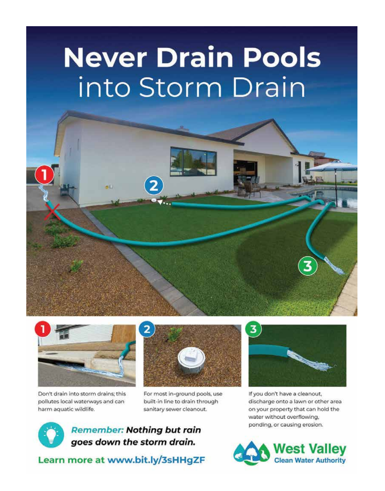# **Never Drain Pools** into Storm Drain





Don't drain into storm drains; this pollutes local waterways and can harm aquatic wildlife.



For most in-ground pools, use built-in line to drain through sanitary sewer cleanout.

**Remember: Nothing but rain** goes down the storm drain.

Learn more at www.bit.ly/3sHHgZF

If you don't have a cleanout, discharge onto a lawn or other area on your property that can hold the water without overflowing, ponding, or causing erosion.

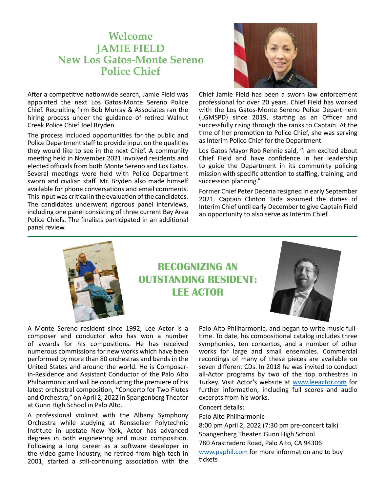### **Welcome JAMIE FIELD New Los Gatos-Monte Sereno Police Chief**

After a competitive nationwide search, Jamie Field was appointed the next Los Gatos-Monte Sereno Police Chief. Recruiting firm Bob Murray & Associates ran the hiring process under the guidance of retired Walnut Creek Police Chief Joel Bryden.

The process included opportunities for the public and Police Department staff to provide input on the qualities they would like to see in the next Chief. A community meeting held in November 2021 involved residents and elected officials from both Monte Sereno and Los Gatos. Several meetings were held with Police Department sworn and civilian staff. Mr. Bryden also made himself available for phone conversations and email comments. This input was critical in the evaluation of the candidates. The candidates underwent rigorous panel interviews, including one panel consisting of three current Bay Area Police Chiefs. The finalists participated in an additional panel review.

Chief Jamie Field has been a sworn law enforcement professional for over 20 years. Chief Field has worked with the Los Gatos-Monte Sereno Police Department (LGMSPD) since 2019, starting as an Officer and successfully rising through the ranks to Captain. At the time of her promotion to Police Chief, she was serving as Interim Police Chief for the Department.

Los Gatos Mayor Rob Rennie said, "I am excited about Chief Field and have confidence in her leadership to guide the Department in its community policing mission with specific attention to staffing, training, and succession planning."

Former Chief Peter Decena resigned in early September 2021. Captain Clinton Tada assumed the duties of Interim Chief until early December to give Captain Field an opportunity to also serve as Interim Chief.



**RECOGNIZING AN OUTSTANDING RESIDENT: LEE ACTOR**



A Monte Sereno resident since 1992, Lee Actor is a composer and conductor who has won a number of awards for his compositions. He has received numerous commissions for new works which have been performed by more than 80 orchestras and bands in the United States and around the world. He is Composerin-Residence and Assistant Conductor of the Palo Alto Philharmonic and will be conducting the premiere of his latest orchestral composition, "Concerto for Two Flutes and Orchestra," on April 2, 2022 in Spangenberg Theater at Gunn High School in Palo Alto.

A professional violinist with the Albany Symphony Orchestra while studying at Rensselaer Polytechnic Institute in upstate New York, Actor has advanced degrees in both engineering and music composition. Following a long career as a software developer in the video game industry, he retired from high tech in 2001, started a still-continuing association with the Palo Alto Philharmonic, and began to write music fulltime. To date, his compositional catalog includes three symphonies, ten concertos, and a number of other works for large and small ensembles. Commercial recordings of many of these pieces are available on seven different CDs. In 2018 he was invited to conduct all-Actor programs by two of the top orchestras in Turkey. Visit Actor's website at www.leeactor.com for further information, including full scores and audio excerpts from his works.

#### Concert details:

Palo Alto Philharmonic

8:00 pm April 2, 2022 (7:30 pm pre-concert talk) Spangenberg Theater, Gunn High School 780 Arastradero Road, Palo Alto, CA 94306 www.paphil.com for more information and to buy tickets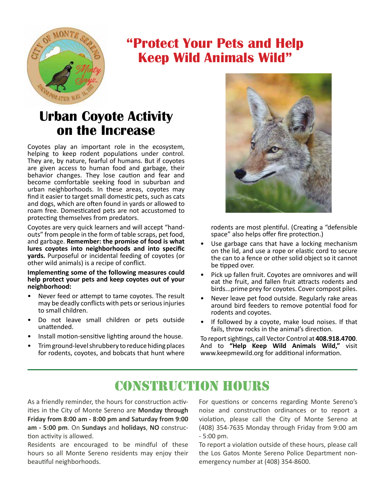

### **"Protect Your Pets and Help Keep Wild Animals Wild"**

### **Urban Coyote Activity on the Increase**

Coyotes play an important role in the ecosystem, helping to keep rodent populations under control. They are, by nature, fearful of humans. But if coyotes are given access to human food and garbage, their behavior changes. They lose caution and fear and become comfortable seeking food in suburban and urban neighborhoods. In these areas, coyotes may find it easier to target small domestic pets, such as cats and dogs, which are often found in yards or allowed to roam free. Domesticated pets are not accustomed to protecting themselves from predators.

Coyotes are very quick learners and will accept "handouts" from people in the form of table scraps, pet food, and garbage. **Remember: the promise of food is what lures coyotes into neighborhoods and into specific yards.** Purposeful or incidental feeding of coyotes (or other wild animals) is a recipe of conflict.

**Implementing some of the following measures could help protect your pets and keep coyotes out of your neighborhood:**

- Never feed or attempt to tame coyotes. The result may be deadly conflicts with pets or serious injuries to small children.
- Do not leave small children or pets outside unattended.
- Install motion-sensitive lighting around the house.
- Trim ground-level shrubbery to reduce hiding places for rodents, coyotes, and bobcats that hunt where



rodents are most plentiful. (Creating a "defensible space" also helps offer fire protection.)

- Use garbage cans that have a locking mechanism on the lid, and use a rope or elastic cord to secure the can to a fence or other solid object so it cannot be tipped over.
- Pick up fallen fruit. Coyotes are omnivores and will eat the fruit, and fallen fruit attracts rodents and birds...prime prey for coyotes. Cover compost piles.
- Never leave pet food outside. Regularly rake areas around bird feeders to remove potential food for rodents and coyotes.
- If followed by a coyote, make loud noises. If that fails, throw rocks in the animal's direction.

To report sightings, call Vector Control at **408.918.4700**. And to **"Help Keep Wild Animals Wild,"** visit www.keepmewild.org for additional information.

### CONSTRUCTION HOURS

As a friendly reminder, the hours for construction activities in the City of Monte Sereno are **Monday through Friday from 8:00 am - 8:00 pm and Saturday from 9:00 am - 5:00 pm**. On **Sundays** and **holidays**, **NO** construction activity is allowed.

Residents are encouraged to be mindful of these hours so all Monte Sereno residents may enjoy their beautiful neighborhoods.

For questions or concerns regarding Monte Sereno's noise and construction ordinances or to report a violation, please call the City of Monte Sereno at (408) 354-7635 Monday through Friday from 9:00 am - 5:00 pm.

To report a violation outside of these hours, please call the Los Gatos Monte Sereno Police Department nonemergency number at (408) 354-8600.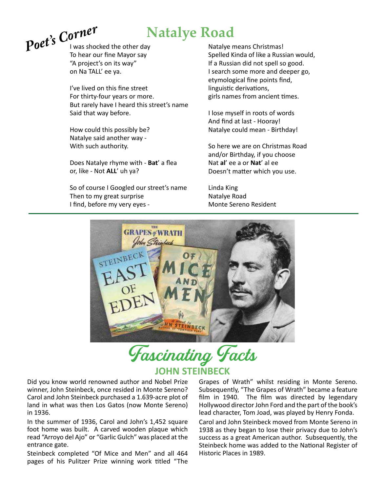

I was shocked the other day To hear our fine Mayor say "A project's on its way" on Na TALL' ee ya.

I've lived on this fine street For thirty-four years or more. But rarely have I heard this street's name Said that way before.

How could this possibly be? Natalye said another way - With such authority.

Does Natalye rhyme with - **Bat**' a flea or, like - Not **ALL**' uh ya?

So of course I Googled our street's name Then to my great surprise I find, before my very eyes -

Natalye means Christmas! Spelled Kinda of like a Russian would, If a Russian did not spell so good. I search some more and deeper go, etymological fine points find, linguistic derivations, girls names from ancient times.

I lose myself in roots of words And find at last - Hooray! Natalye could mean - Birthday!

So here we are on Christmas Road and/or Birthday, if you choose Nat **al**' ee a or **Nat**' al ee Doesn't matter which you use.

Linda King Natalye Road Monte Sereno Resident



Fascinating Facts **JOHN STEINBECK**

Did you know world renowned author and Nobel Prize winner, John Steinbeck, once resided in Monte Sereno? Carol and John Steinbeck purchased a 1.639-acre plot of land in what was then Los Gatos (now Monte Sereno) in 1936.

In the summer of 1936, Carol and John's 1,452 square foot home was built. A carved wooden plaque which read "Arroyo del Ajo" or "Garlic Gulch" was placed at the entrance gate.

Steinbeck completed "Of Mice and Men" and all 464 pages of his Pulitzer Prize winning work titled "The Grapes of Wrath" whilst residing in Monte Sereno. Subsequently, "The Grapes of Wrath" became a feature film in 1940. The film was directed by legendary Hollywood director John Ford and the part of the book's lead character, Tom Joad, was played by Henry Fonda.

Carol and John Steinbeck moved from Monte Sereno in 1938 as they began to lose their privacy due to John's success as a great American author. Subsequently, the Steinbeck home was added to the National Register of Historic Places in 1989.